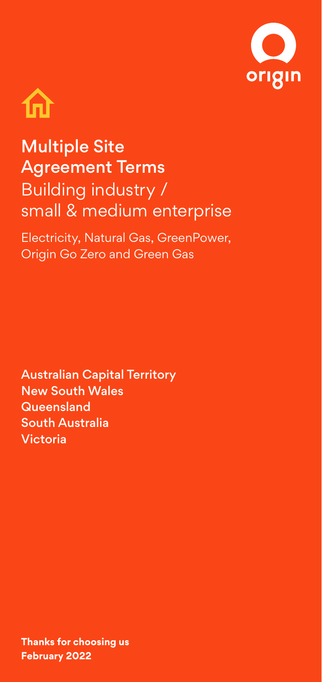



Multiple Site Agreement Terms Building industry / small & medium enterprise

Electricity, Natural Gas, GreenPower, Origin Go Zero and Green Gas

Australian Capital Territory New South Wales **Queensland** South Australia Victoria

**Thanks for choosing us February 2022**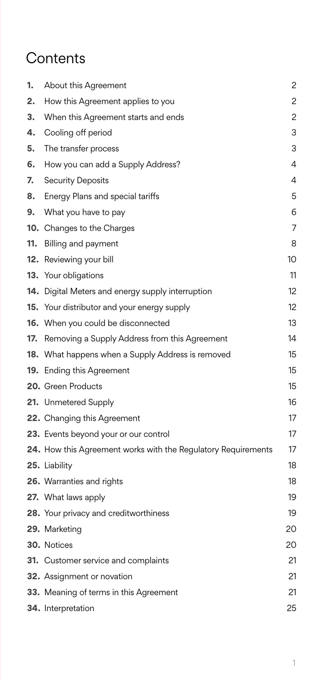# **Contents**

| 1.  | About this Agreement                                          | 2  |
|-----|---------------------------------------------------------------|----|
| 2.  | How this Agreement applies to you                             | 2  |
| 3.  | When this Agreement starts and ends                           | 2  |
| 4.  | Cooling off period                                            | 3  |
| 5.  | The transfer process                                          | 3  |
| 6.  | How you can add a Supply Address?                             | 4  |
| 7.  | <b>Security Deposits</b>                                      | 4  |
| 8.  | Energy Plans and special tariffs                              | 5  |
| 9.  | What you have to pay                                          | 6  |
|     | <b>10.</b> Changes to the Charges                             | 7  |
| 11. | Billing and payment                                           | 8  |
| 12. | Reviewing your bill                                           | 10 |
| 13. | Your obligations                                              | 11 |
|     | <b>14.</b> Digital Meters and energy supply interruption      | 12 |
|     | 15. Your distributor and your energy supply                   | 12 |
|     | <b>16.</b> When you could be disconnected                     | 13 |
| 17. | Removing a Supply Address from this Agreement                 | 14 |
|     | <b>18.</b> What happens when a Supply Address is removed      | 15 |
|     | <b>19.</b> Ending this Agreement                              | 15 |
|     | 20. Green Products                                            | 15 |
|     | 21. Unmetered Supply                                          | 16 |
|     | 22. Changing this Agreement                                   | 17 |
|     | 23. Events beyond your or our control                         | 17 |
|     | 24. How this Agreement works with the Regulatory Requirements | 17 |
|     | 25. Liability                                                 | 18 |
|     | 26. Warranties and rights                                     | 18 |
|     | 27. What laws apply                                           | 19 |
|     | 28. Your privacy and creditworthiness                         | 19 |
|     | 29. Marketing                                                 | 20 |
|     | 30. Notices                                                   | 20 |
|     | 31. Customer service and complaints                           | 21 |
|     | <b>32.</b> Assignment or novation                             | 21 |
|     | 33. Meaning of terms in this Agreement                        | 21 |
|     | 34. Interpretation                                            | 25 |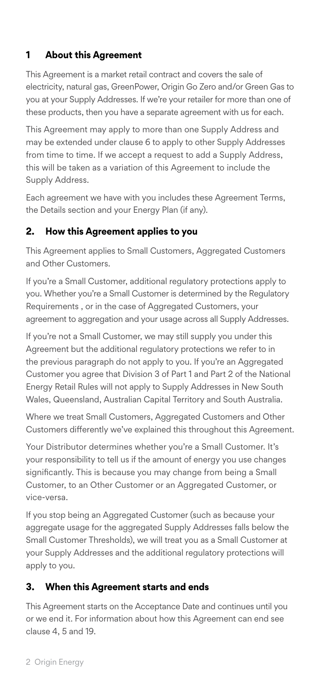# **1 About this Agreement**

This Agreement is a market retail contract and covers the sale of electricity, natural gas, GreenPower, Origin Go Zero and/or Green Gas to you at your Supply Addresses. If we're your retailer for more than one of these products, then you have a separate agreement with us for each.

This Agreement may apply to more than one Supply Address and may be extended under clause 6 to apply to other Supply Addresses from time to time. If we accept a request to add a Supply Address, this will be taken as a variation of this Agreement to include the Supply Address.

Each agreement we have with you includes these Agreement Terms, the Details section and your Energy Plan (if any).

## **2. How this Agreement applies to you**

This Agreement applies to Small Customers, Aggregated Customers and Other Customers.

If you're a Small Customer, additional regulatory protections apply to you. Whether you're a Small Customer is determined by the Regulatory Requirements , or in the case of Aggregated Customers, your agreement to aggregation and your usage across all Supply Addresses.

If you're not a Small Customer, we may still supply you under this Agreement but the additional regulatory protections we refer to in the previous paragraph do not apply to you. If you're an Aggregated Customer you agree that Division 3 of Part 1 and Part 2 of the National Energy Retail Rules will not apply to Supply Addresses in New South Wales, Queensland, Australian Capital Territory and South Australia.

Where we treat Small Customers, Aggregated Customers and Other Customers differently we've explained this throughout this Agreement.

Your Distributor determines whether you're a Small Customer. It's your responsibility to tell us if the amount of energy you use changes significantly. This is because you may change from being a Small Customer, to an Other Customer or an Aggregated Customer, or vice-versa.

If you stop being an Aggregated Customer (such as because your aggregate usage for the aggregated Supply Addresses falls below the Small Customer Thresholds), we will treat you as a Small Customer at your Supply Addresses and the additional regulatory protections will apply to you.

# **3. When this Agreement starts and ends**

This Agreement starts on the Acceptance Date and continues until you or we end it. For information about how this Agreement can end see clause 4, 5 and 19.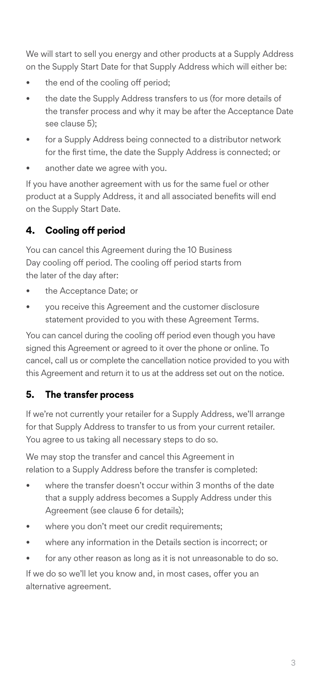We will start to sell you energy and other products at a Supply Address on the Supply Start Date for that Supply Address which will either be:

- the end of the cooling off period;
- the date the Supply Address transfers to us (for more details of the transfer process and why it may be after the Acceptance Date see clause 5);
- for a Supply Address being connected to a distributor network for the first time, the date the Supply Address is connected; or
- another date we agree with you.

If you have another agreement with us for the same fuel or other product at a Supply Address, it and all associated benefits will end on the Supply Start Date.

# **4. Cooling off period**

You can cancel this Agreement during the 10 Business Day cooling off period. The cooling off period starts from the later of the day after:

- the Acceptance Date; or
- you receive this Agreement and the customer disclosure statement provided to you with these Agreement Terms.

You can cancel during the cooling off period even though you have signed this Agreement or agreed to it over the phone or online. To cancel, call us or complete the cancellation notice provided to you with this Agreement and return it to us at the address set out on the notice.

#### **5. The transfer process**

If we're not currently your retailer for a Supply Address, we'll arrange for that Supply Address to transfer to us from your current retailer. You agree to us taking all necessary steps to do so.

We may stop the transfer and cancel this Agreement in relation to a Supply Address before the transfer is completed:

- where the transfer doesn't occur within 3 months of the date that a supply address becomes a Supply Address under this Agreement (see clause 6 for details);
- where you don't meet our credit requirements;
- where any information in the Details section is incorrect; or
- for any other reason as long as it is not unreasonable to do so.

If we do so we'll let you know and, in most cases, offer you an alternative agreement.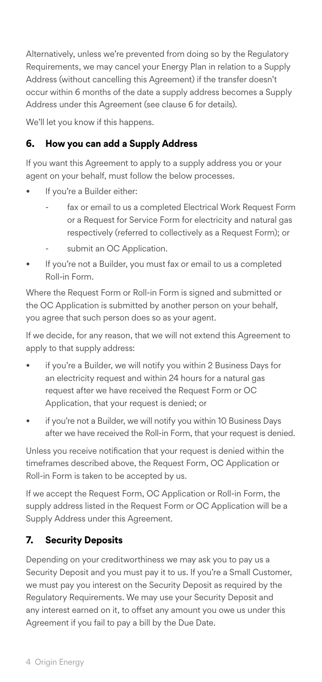Alternatively, unless we're prevented from doing so by the Regulatory Requirements, we may cancel your Energy Plan in relation to a Supply Address (without cancelling this Agreement) if the transfer doesn't occur within 6 months of the date a supply address becomes a Supply Address under this Agreement (see clause 6 for details).

We'll let you know if this happens.

# **6. How you can add a Supply Address**

If you want this Agreement to apply to a supply address you or your agent on your behalf, must follow the below processes.

- If you're a Builder either:
	- fax or email to us a completed Electrical Work Request Form or a Request for Service Form for electricity and natural gas respectively (referred to collectively as a Request Form); or
	- submit an OC Application.
- If you're not a Builder, you must fax or email to us a completed Roll-in Form.

Where the Request Form or Roll-in Form is signed and submitted or the OC Application is submitted by another person on your behalf, you agree that such person does so as your agent.

If we decide, for any reason, that we will not extend this Agreement to apply to that supply address:

- if you're a Builder, we will notify you within 2 Business Days for an electricity request and within 24 hours for a natural gas request after we have received the Request Form or OC Application, that your request is denied; or
- if you're not a Builder, we will notify you within 10 Business Days after we have received the Roll-in Form, that your request is denied.

Unless you receive notification that your request is denied within the timeframes described above, the Request Form, OC Application or Roll-in Form is taken to be accepted by us.

If we accept the Request Form, OC Application or Roll-in Form, the supply address listed in the Request Form or OC Application will be a Supply Address under this Agreement.

# **7. Security Deposits**

Depending on your creditworthiness we may ask you to pay us a Security Deposit and you must pay it to us. If you're a Small Customer, we must pay you interest on the Security Deposit as required by the Regulatory Requirements. We may use your Security Deposit and any interest earned on it, to offset any amount you owe us under this Agreement if you fail to pay a bill by the Due Date.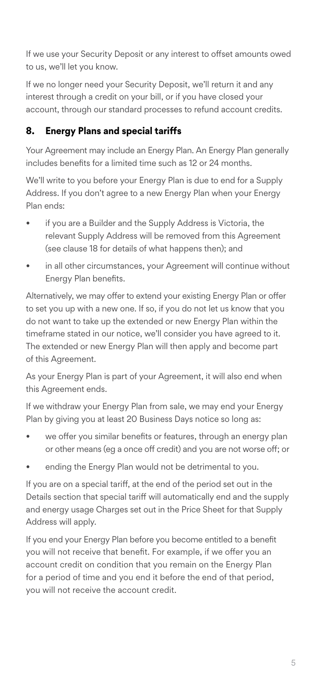If we use your Security Deposit or any interest to offset amounts owed to us, we'll let you know.

If we no longer need your Security Deposit, we'll return it and any interest through a credit on your bill, or if you have closed your account, through our standard processes to refund account credits.

# **8. Energy Plans and special tariffs**

Your Agreement may include an Energy Plan. An Energy Plan generally includes benefits for a limited time such as 12 or 24 months.

We'll write to you before your Energy Plan is due to end for a Supply Address. If you don't agree to a new Energy Plan when your Energy Plan ends:

- if you are a Builder and the Supply Address is Victoria, the relevant Supply Address will be removed from this Agreement (see clause 18 for details of what happens then); and
- in all other circumstances, your Agreement will continue without Energy Plan benefits.

Alternatively, we may offer to extend your existing Energy Plan or offer to set you up with a new one. If so, if you do not let us know that you do not want to take up the extended or new Energy Plan within the timeframe stated in our notice, we'll consider you have agreed to it. The extended or new Energy Plan will then apply and become part of this Agreement.

As your Energy Plan is part of your Agreement, it will also end when this Agreement ends.

If we withdraw your Energy Plan from sale, we may end your Energy Plan by giving you at least 20 Business Days notice so long as:

- we offer you similar benefits or features, through an energy plan or other means (eg a once off credit) and you are not worse off; or
- ending the Energy Plan would not be detrimental to you.

If you are on a special tariff, at the end of the period set out in the Details section that special tariff will automatically end and the supply and energy usage Charges set out in the Price Sheet for that Supply Address will apply.

If you end your Energy Plan before you become entitled to a benefit you will not receive that benefit. For example, if we offer you an account credit on condition that you remain on the Energy Plan for a period of time and you end it before the end of that period, you will not receive the account credit.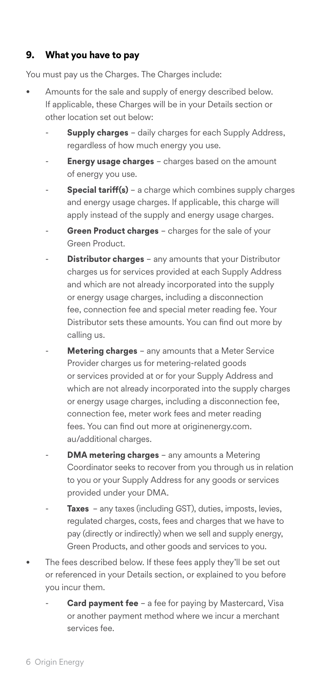### **9. What you have to pay**

You must pay us the Charges. The Charges include:

- Amounts for the sale and supply of energy described below. If applicable, these Charges will be in your Details section or other location set out below:
	- **Supply charges** daily charges for each Supply Address, regardless of how much energy you use.
	- **Energy usage charges** charges based on the amount of energy you use.
	- **Special tariff(s)** a charge which combines supply charges and energy usage charges. If applicable, this charge will apply instead of the supply and energy usage charges.
	- **Green Product charges** charges for the sale of your Green Product.
	- **Distributor charges** any amounts that your Distributor charges us for services provided at each Supply Address and which are not already incorporated into the supply or energy usage charges, including a disconnection fee, connection fee and special meter reading fee. Your Distributor sets these amounts. You can find out more by calling us.
	- **Metering charges** any amounts that a Meter Service Provider charges us for metering-related goods or services provided at or for your Supply Address and which are not already incorporated into the supply charges or energy usage charges, including a disconnection fee, connection fee, meter work fees and meter reading fees. You can find out more at originenergy.com. au/additional charges.
	- **DMA metering charges** any amounts a Metering Coordinator seeks to recover from you through us in relation to you or your Supply Address for any goods or services provided under your DMA.
	- Taxes any taxes (including GST), duties, imposts, levies, regulated charges, costs, fees and charges that we have to pay (directly or indirectly) when we sell and supply energy, Green Products, and other goods and services to you.
- The fees described below. If these fees apply they'll be set out or referenced in your Details section, or explained to you before you incur them.
	- **Card payment fee** a fee for paying by Mastercard, Visa or another payment method where we incur a merchant services fee.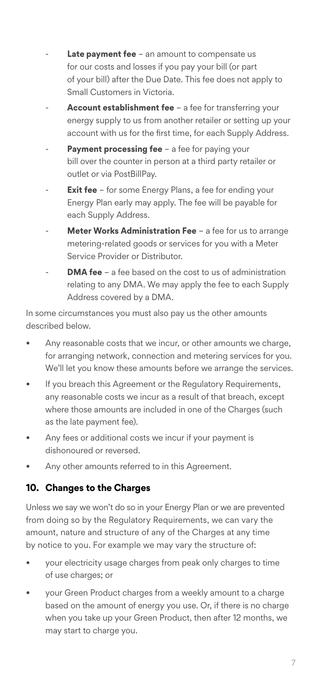- Late payment fee an amount to compensate us for our costs and losses if you pay your bill (or part of your bill) after the Due Date. This fee does not apply to Small Customers in Victoria.
- Account establishment fee a fee for transferring your energy supply to us from another retailer or setting up your account with us for the first time, for each Supply Address.
- **Payment processing fee** a fee for paying your bill over the counter in person at a third party retailer or outlet or via PostBillPay.
- **Exit fee** for some Energy Plans, a fee for ending your Energy Plan early may apply. The fee will be payable for each Supply Address.
- **Meter Works Administration Fee** a fee for us to arrange metering-related goods or services for you with a Meter Service Provider or Distributor.
- **DMA fee** a fee based on the cost to us of administration relating to any DMA. We may apply the fee to each Supply Address covered by a DMA.

In some circumstances you must also pay us the other amounts described below.

- Any reasonable costs that we incur, or other amounts we charge, for arranging network, connection and metering services for you. We'll let you know these amounts before we arrange the services.
- If you breach this Agreement or the Regulatory Requirements, any reasonable costs we incur as a result of that breach, except where those amounts are included in one of the Charges (such as the late payment fee).
- Any fees or additional costs we incur if your payment is dishonoured or reversed.
- Any other amounts referred to in this Agreement.

# **10. Changes to the Charges**

Unless we say we won't do so in your Energy Plan or we are prevented from doing so by the Regulatory Requirements, we can vary the amount, nature and structure of any of the Charges at any time by notice to you. For example we may vary the structure of:

- your electricity usage charges from peak only charges to time of use charges; or
- your Green Product charges from a weekly amount to a charge based on the amount of energy you use. Or, if there is no charge when you take up your Green Product, then after 12 months, we may start to charge you.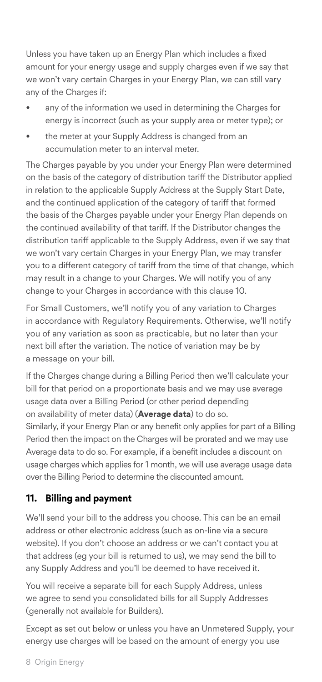Unless you have taken up an Energy Plan which includes a fixed amount for your energy usage and supply charges even if we say that we won't vary certain Charges in your Energy Plan, we can still vary any of the Charges if:

- any of the information we used in determining the Charges for energy is incorrect (such as your supply area or meter type); or
- the meter at your Supply Address is changed from an accumulation meter to an interval meter.

The Charges payable by you under your Energy Plan were determined on the basis of the category of distribution tariff the Distributor applied in relation to the applicable Supply Address at the Supply Start Date, and the continued application of the category of tariff that formed the basis of the Charges payable under your Energy Plan depends on the continued availability of that tariff. If the Distributor changes the distribution tariff applicable to the Supply Address, even if we say that we won't vary certain Charges in your Energy Plan, we may transfer you to a different category of tariff from the time of that change, which may result in a change to your Charges. We will notify you of any change to your Charges in accordance with this clause 10.

For Small Customers, we'll notify you of any variation to Charges in accordance with Regulatory Requirements. Otherwise, we'll notify you of any variation as soon as practicable, but no later than your next bill after the variation. The notice of variation may be by a message on your bill.

If the Charges change during a Billing Period then we'll calculate your bill for that period on a proportionate basis and we may use average usage data over a Billing Period (or other period depending on availability of meter data) (**Average data**) to do so. Similarly, if your Energy Plan or any benefit only applies for part of a Billing Period then the impact on the Charges will be prorated and we may use Average data to do so. For example, if a benefit includes a discount on usage charges which applies for 1 month, we will use average usage data over the Billing Period to determine the discounted amount.

# **11. Billing and payment**

We'll send your bill to the address you choose. This can be an email address or other electronic address (such as on-line via a secure website). If you don't choose an address or we can't contact you at that address (eg your bill is returned to us), we may send the bill to any Supply Address and you'll be deemed to have received it.

You will receive a separate bill for each Supply Address, unless we agree to send you consolidated bills for all Supply Addresses (generally not available for Builders).

Except as set out below or unless you have an Unmetered Supply, your energy use charges will be based on the amount of energy you use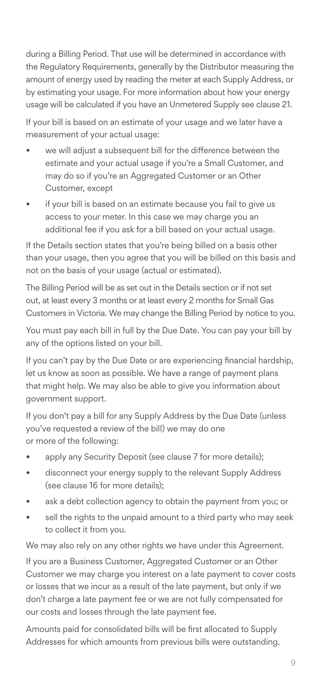during a Billing Period. That use will be determined in accordance with the Regulatory Requirements, generally by the Distributor measuring the amount of energy used by reading the meter at each Supply Address, or by estimating your usage. For more information about how your energy usage will be calculated if you have an Unmetered Supply see clause 21.

If your bill is based on an estimate of your usage and we later have a measurement of your actual usage:

- we will adjust a subsequent bill for the difference between the estimate and your actual usage if you're a Small Customer, and may do so if you're an Aggregated Customer or an Other Customer, except
- if your bill is based on an estimate because you fail to give us access to your meter. In this case we may charge you an additional fee if you ask for a bill based on your actual usage.

If the Details section states that you're being billed on a basis other than your usage, then you agree that you will be billed on this basis and not on the basis of your usage (actual or estimated).

The Billing Period will be as set out in the Details section or if not set out, at least every 3 months or at least every 2 months for Small Gas Customers in Victoria. We may change the Billing Period by notice to you.

You must pay each bill in full by the Due Date. You can pay your bill by any of the options listed on your bill.

If you can't pay by the Due Date or are experiencing financial hardship, let us know as soon as possible. We have a range of payment plans that might help. We may also be able to give you information about government support.

If you don't pay a bill for any Supply Address by the Due Date (unless you've requested a review of the bill) we may do one or more of the following:

- apply any Security Deposit (see clause 7 for more details);
- disconnect your energy supply to the relevant Supply Address (see clause 16 for more details);
- ask a debt collection agency to obtain the payment from you; or
- sell the rights to the unpaid amount to a third party who may seek to collect it from you.

We may also rely on any other rights we have under this Agreement.

If you are a Business Customer, Aggregated Customer or an Other Customer we may charge you interest on a late payment to cover costs or losses that we incur as a result of the late payment, but only if we don't charge a late payment fee or we are not fully compensated for our costs and losses through the late payment fee.

Amounts paid for consolidated bills will be first allocated to Supply Addresses for which amounts from previous bills were outstanding.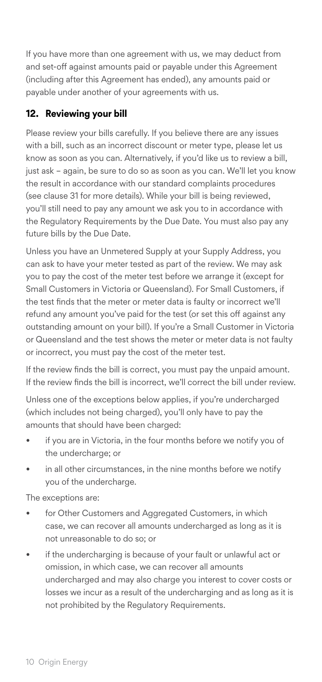If you have more than one agreement with us, we may deduct from and set-off against amounts paid or payable under this Agreement (including after this Agreement has ended), any amounts paid or payable under another of your agreements with us.

# **12. Reviewing your bill**

Please review your bills carefully. If you believe there are any issues with a bill, such as an incorrect discount or meter type, please let us know as soon as you can. Alternatively, if you'd like us to review a bill, just ask – again, be sure to do so as soon as you can. We'll let you know the result in accordance with our standard complaints procedures (see clause 31 for more details). While your bill is being reviewed, you'll still need to pay any amount we ask you to in accordance with the Regulatory Requirements by the Due Date. You must also pay any future bills by the Due Date.

Unless you have an Unmetered Supply at your Supply Address, you can ask to have your meter tested as part of the review. We may ask you to pay the cost of the meter test before we arrange it (except for Small Customers in Victoria or Queensland). For Small Customers, if the test finds that the meter or meter data is faulty or incorrect we'll refund any amount you've paid for the test (or set this off against any outstanding amount on your bill). If you're a Small Customer in Victoria or Queensland and the test shows the meter or meter data is not faulty or incorrect, you must pay the cost of the meter test.

If the review finds the bill is correct, you must pay the unpaid amount. If the review finds the bill is incorrect, we'll correct the bill under review.

Unless one of the exceptions below applies, if you're undercharged (which includes not being charged), you'll only have to pay the amounts that should have been charged:

- if you are in Victoria, in the four months before we notify you of the undercharge; or
- in all other circumstances, in the nine months before we notify you of the undercharge.

The exceptions are:

- for Other Customers and Aggregated Customers, in which case, we can recover all amounts undercharged as long as it is not unreasonable to do so; or
- if the undercharging is because of your fault or unlawful act or omission, in which case, we can recover all amounts undercharged and may also charge you interest to cover costs or losses we incur as a result of the undercharging and as long as it is not prohibited by the Regulatory Requirements.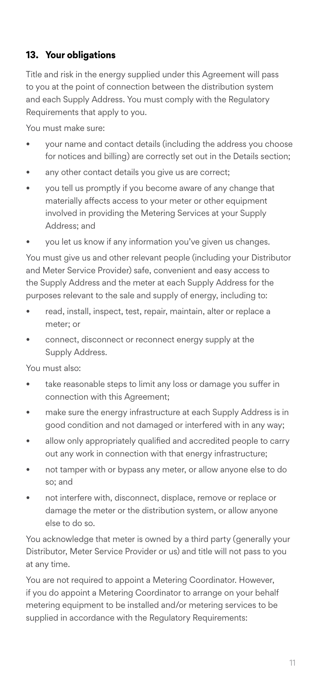# **13. Your obligations**

Title and risk in the energy supplied under this Agreement will pass to you at the point of connection between the distribution system and each Supply Address. You must comply with the Regulatory Requirements that apply to you.

You must make sure:

- your name and contact details (including the address you choose for notices and billing) are correctly set out in the Details section;
- any other contact details you give us are correct;
- you tell us promptly if you become aware of any change that materially affects access to your meter or other equipment involved in providing the Metering Services at your Supply Address; and
- you let us know if any information you've given us changes.

You must give us and other relevant people (including your Distributor and Meter Service Provider) safe, convenient and easy access to the Supply Address and the meter at each Supply Address for the purposes relevant to the sale and supply of energy, including to:

- read, install, inspect, test, repair, maintain, alter or replace a meter; or
- connect, disconnect or reconnect energy supply at the Supply Address.

You must also:

- take reasonable steps to limit any loss or damage you suffer in connection with this Agreement;
- make sure the energy infrastructure at each Supply Address is in good condition and not damaged or interfered with in any way;
- allow only appropriately qualified and accredited people to carry out any work in connection with that energy infrastructure;
- not tamper with or bypass any meter, or allow anyone else to do so; and
- not interfere with, disconnect, displace, remove or replace or damage the meter or the distribution system, or allow anyone else to do so.

You acknowledge that meter is owned by a third party (generally your Distributor, Meter Service Provider or us) and title will not pass to you at any time.

You are not required to appoint a Metering Coordinator. However, if you do appoint a Metering Coordinator to arrange on your behalf metering equipment to be installed and/or metering services to be supplied in accordance with the Regulatory Requirements: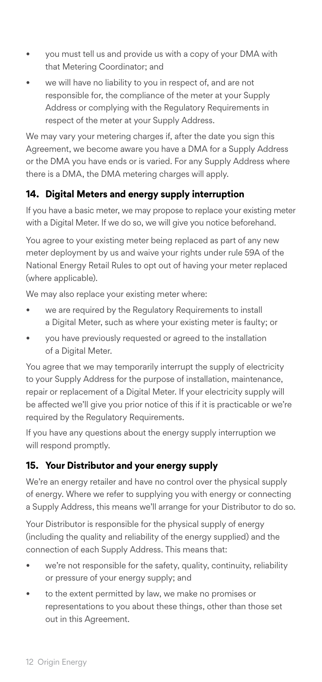- you must tell us and provide us with a copy of your DMA with that Metering Coordinator; and
- we will have no liability to you in respect of, and are not responsible for, the compliance of the meter at your Supply Address or complying with the Regulatory Requirements in respect of the meter at your Supply Address.

We may vary your metering charges if, after the date you sign this Agreement, we become aware you have a DMA for a Supply Address or the DMA you have ends or is varied. For any Supply Address where there is a DMA, the DMA metering charges will apply.

# **14. Digital Meters and energy supply interruption**

If you have a basic meter, we may propose to replace your existing meter with a Digital Meter. If we do so, we will give you notice beforehand.

You agree to your existing meter being replaced as part of any new meter deployment by us and waive your rights under rule 59A of the National Energy Retail Rules to opt out of having your meter replaced (where applicable).

We may also replace your existing meter where:

- we are required by the Regulatory Requirements to install a Digital Meter, such as where your existing meter is faulty; or
- you have previously requested or agreed to the installation of a Digital Meter.

You agree that we may temporarily interrupt the supply of electricity to your Supply Address for the purpose of installation, maintenance, repair or replacement of a Digital Meter. If your electricity supply will be affected we'll give you prior notice of this if it is practicable or we're required by the Regulatory Requirements.

If you have any questions about the energy supply interruption we will respond promptly.

# **15. Your Distributor and your energy supply**

We're an energy retailer and have no control over the physical supply of energy. Where we refer to supplying you with energy or connecting a Supply Address, this means we'll arrange for your Distributor to do so.

Your Distributor is responsible for the physical supply of energy (including the quality and reliability of the energy supplied) and the connection of each Supply Address. This means that:

- we're not responsible for the safety, quality, continuity, reliability or pressure of your energy supply; and
- to the extent permitted by law, we make no promises or representations to you about these things, other than those set out in this Agreement.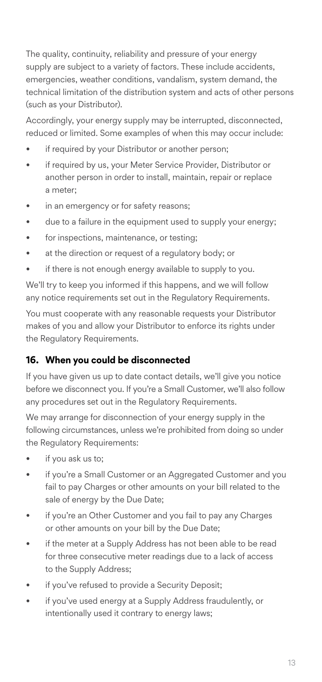The quality, continuity, reliability and pressure of your energy supply are subject to a variety of factors. These include accidents, emergencies, weather conditions, vandalism, system demand, the technical limitation of the distribution system and acts of other persons (such as your Distributor).

Accordingly, your energy supply may be interrupted, disconnected, reduced or limited. Some examples of when this may occur include:

- if required by your Distributor or another person;
- if required by us, your Meter Service Provider, Distributor or another person in order to install, maintain, repair or replace a meter;
- in an emergency or for safety reasons;
- due to a failure in the equipment used to supply your energy;
- for inspections, maintenance, or testing;
- at the direction or request of a regulatory body; or
- if there is not enough energy available to supply to you.

We'll try to keep you informed if this happens, and we will follow any notice requirements set out in the Regulatory Requirements.

You must cooperate with any reasonable requests your Distributor makes of you and allow your Distributor to enforce its rights under the Regulatory Requirements.

#### **16. When you could be disconnected**

If you have given us up to date contact details, we'll give you notice before we disconnect you. If you're a Small Customer, we'll also follow any procedures set out in the Regulatory Requirements.

We may arrange for disconnection of your energy supply in the following circumstances, unless we're prohibited from doing so under the Regulatory Requirements:

- if you ask us to;
- if you're a Small Customer or an Aggregated Customer and you fail to pay Charges or other amounts on your bill related to the sale of energy by the Due Date;
- if you're an Other Customer and you fail to pay any Charges or other amounts on your bill by the Due Date;
- if the meter at a Supply Address has not been able to be read for three consecutive meter readings due to a lack of access to the Supply Address;
- if you've refused to provide a Security Deposit;
- if you've used energy at a Supply Address fraudulently, or intentionally used it contrary to energy laws;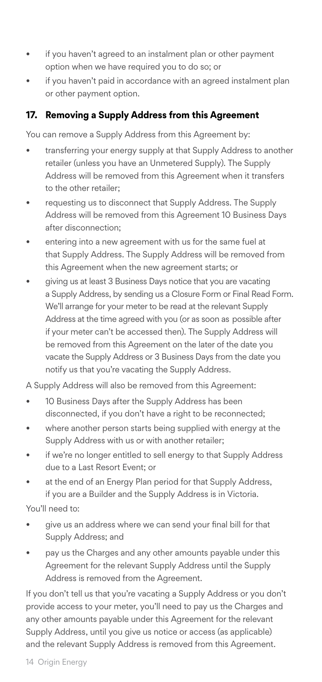- if you haven't agreed to an instalment plan or other payment option when we have required you to do so; or
- if you haven't paid in accordance with an agreed instalment plan or other payment option.

#### **17. Removing a Supply Address from this Agreement**

You can remove a Supply Address from this Agreement by:

- transferring your energy supply at that Supply Address to another retailer (unless you have an Unmetered Supply). The Supply Address will be removed from this Agreement when it transfers to the other retailer;
- requesting us to disconnect that Supply Address. The Supply Address will be removed from this Agreement 10 Business Days after disconnection;
- entering into a new agreement with us for the same fuel at that Supply Address. The Supply Address will be removed from this Agreement when the new agreement starts; or
- giving us at least 3 Business Days notice that you are vacating a Supply Address, by sending us a Closure Form or Final Read Form. We'll arrange for your meter to be read at the relevant Supply Address at the time agreed with you (or as soon as possible after if your meter can't be accessed then). The Supply Address will be removed from this Agreement on the later of the date you vacate the Supply Address or 3 Business Days from the date you notify us that you're vacating the Supply Address.

A Supply Address will also be removed from this Agreement:

- 10 Business Days after the Supply Address has been disconnected, if you don't have a right to be reconnected;
- where another person starts being supplied with energy at the Supply Address with us or with another retailer;
- if we're no longer entitled to sell energy to that Supply Address due to a Last Resort Event; or
- at the end of an Energy Plan period for that Supply Address, if you are a Builder and the Supply Address is in Victoria.

You'll need to:

- give us an address where we can send your final bill for that Supply Address; and
- pay us the Charges and any other amounts payable under this Agreement for the relevant Supply Address until the Supply Address is removed from the Agreement.

If you don't tell us that you're vacating a Supply Address or you don't provide access to your meter, you'll need to pay us the Charges and any other amounts payable under this Agreement for the relevant Supply Address, until you give us notice or access (as applicable) and the relevant Supply Address is removed from this Agreement.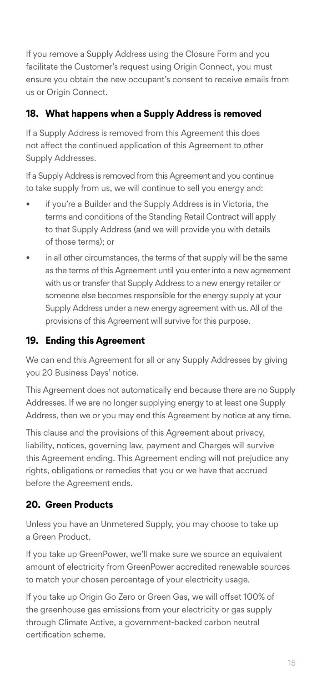If you remove a Supply Address using the Closure Form and you facilitate the Customer's request using Origin Connect, you must ensure you obtain the new occupant's consent to receive emails from us or Origin Connect.

# **18. What happens when a Supply Address is removed**

If a Supply Address is removed from this Agreement this does not affect the continued application of this Agreement to other Supply Addresses.

If a Supply Address is removed from this Agreement and you continue to take supply from us, we will continue to sell you energy and:

- if you're a Builder and the Supply Address is in Victoria, the terms and conditions of the Standing Retail Contract will apply to that Supply Address (and we will provide you with details of those terms); or
- in all other circumstances, the terms of that supply will be the same as the terms of this Agreement until you enter into a new agreement with us or transfer that Supply Address to a new energy retailer or someone else becomes responsible for the energy supply at your Supply Address under a new energy agreement with us. All of the provisions of this Agreement will survive for this purpose.

# **19. Ending this Agreement**

We can end this Agreement for all or any Supply Addresses by giving you 20 Business Days' notice.

This Agreement does not automatically end because there are no Supply Addresses. If we are no longer supplying energy to at least one Supply Address, then we or you may end this Agreement by notice at any time.

This clause and the provisions of this Agreement about privacy, liability, notices, governing law, payment and Charges will survive this Agreement ending. This Agreement ending will not prejudice any rights, obligations or remedies that you or we have that accrued before the Agreement ends.

# **20. Green Products**

Unless you have an Unmetered Supply, you may choose to take up a Green Product.

If you take up GreenPower, we'll make sure we source an equivalent amount of electricity from GreenPower accredited renewable sources to match your chosen percentage of your electricity usage.

If you take up Origin Go Zero or Green Gas, we will offset 100% of the greenhouse gas emissions from your electricity or gas supply through Climate Active, a government-backed carbon neutral certification scheme.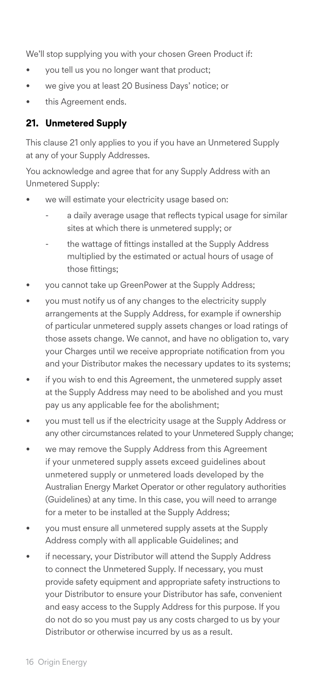We'll stop supplying you with your chosen Green Product if:

- you tell us you no longer want that product;
- we give you at least 20 Business Days' notice; or
- this Agreement ends.

#### **21. Unmetered Supply**

This clause 21 only applies to you if you have an Unmetered Supply at any of your Supply Addresses.

You acknowledge and agree that for any Supply Address with an Unmetered Supply:

- we will estimate your electricity usage based on:
	- a daily average usage that reflects typical usage for similar sites at which there is unmetered supply; or
	- the wattage of fittings installed at the Supply Address multiplied by the estimated or actual hours of usage of those fittings;
- you cannot take up GreenPower at the Supply Address;
- you must notify us of any changes to the electricity supply arrangements at the Supply Address, for example if ownership of particular unmetered supply assets changes or load ratings of those assets change. We cannot, and have no obligation to, vary your Charges until we receive appropriate notification from you and your Distributor makes the necessary updates to its systems;
- if you wish to end this Agreement, the unmetered supply asset at the Supply Address may need to be abolished and you must pay us any applicable fee for the abolishment;
- you must tell us if the electricity usage at the Supply Address or any other circumstances related to your Unmetered Supply change;
- we may remove the Supply Address from this Agreement if your unmetered supply assets exceed guidelines about unmetered supply or unmetered loads developed by the Australian Energy Market Operator or other regulatory authorities (Guidelines) at any time. In this case, you will need to arrange for a meter to be installed at the Supply Address;
- you must ensure all unmetered supply assets at the Supply Address comply with all applicable Guidelines; and
- if necessary, your Distributor will attend the Supply Address to connect the Unmetered Supply. If necessary, you must provide safety equipment and appropriate safety instructions to your Distributor to ensure your Distributor has safe, convenient and easy access to the Supply Address for this purpose. If you do not do so you must pay us any costs charged to us by your Distributor or otherwise incurred by us as a result.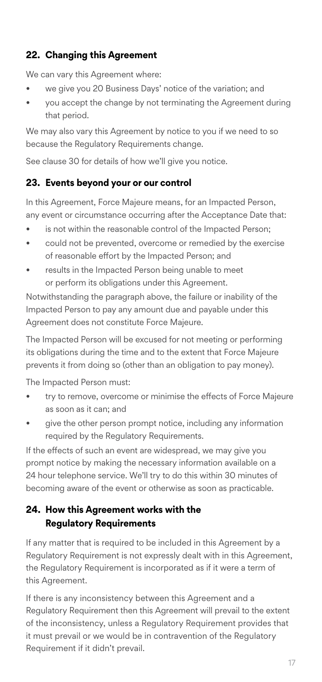# **22. Changing this Agreement**

We can vary this Agreement where:

- we give you 20 Business Days' notice of the variation; and
- you accept the change by not terminating the Agreement during that period.

We may also vary this Agreement by notice to you if we need to so because the Regulatory Requirements change.

See clause 30 for details of how we'll give you notice.

#### **23. Events beyond your or our control**

In this Agreement, Force Majeure means, for an Impacted Person, any event or circumstance occurring after the Acceptance Date that:

- is not within the reasonable control of the Impacted Person:
- could not be prevented, overcome or remedied by the exercise of reasonable effort by the Impacted Person; and
- results in the Impacted Person being unable to meet or perform its obligations under this Agreement.

Notwithstanding the paragraph above, the failure or inability of the Impacted Person to pay any amount due and payable under this Agreement does not constitute Force Majeure.

The Impacted Person will be excused for not meeting or performing its obligations during the time and to the extent that Force Majeure prevents it from doing so (other than an obligation to pay money).

The Impacted Person must:

- try to remove, overcome or minimise the effects of Force Majeure as soon as it can; and
- give the other person prompt notice, including any information required by the Regulatory Requirements.

If the effects of such an event are widespread, we may give you prompt notice by making the necessary information available on a 24 hour telephone service. We'll try to do this within 30 minutes of becoming aware of the event or otherwise as soon as practicable.

#### **24. How this Agreement works with the Regulatory Requirements**

If any matter that is required to be included in this Agreement by a Regulatory Requirement is not expressly dealt with in this Agreement, the Regulatory Requirement is incorporated as if it were a term of this Agreement.

If there is any inconsistency between this Agreement and a Regulatory Requirement then this Agreement will prevail to the extent of the inconsistency, unless a Regulatory Requirement provides that it must prevail or we would be in contravention of the Regulatory Requirement if it didn't prevail.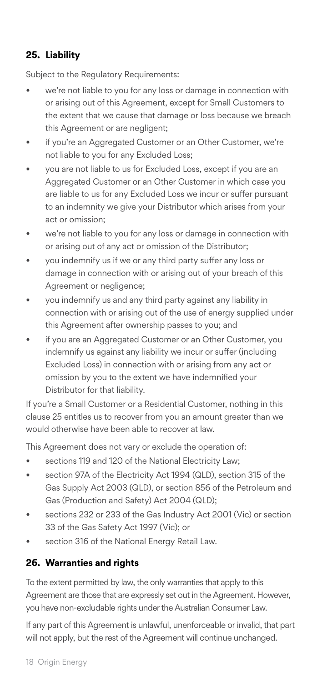# **25. Liability**

Subject to the Regulatory Requirements:

- we're not liable to you for any loss or damage in connection with or arising out of this Agreement, except for Small Customers to the extent that we cause that damage or loss because we breach this Agreement or are negligent;
- if you're an Aggregated Customer or an Other Customer, we're not liable to you for any Excluded Loss;
- you are not liable to us for Excluded Loss, except if you are an Aggregated Customer or an Other Customer in which case you are liable to us for any Excluded Loss we incur or suffer pursuant to an indemnity we give your Distributor which arises from your act or omission;
- we're not liable to you for any loss or damage in connection with or arising out of any act or omission of the Distributor;
- you indemnify us if we or any third party suffer any loss or damage in connection with or arising out of your breach of this Agreement or negligence;
- you indemnify us and any third party against any liability in connection with or arising out of the use of energy supplied under this Agreement after ownership passes to you; and
- if you are an Aggregated Customer or an Other Customer, you indemnify us against any liability we incur or suffer (including Excluded Loss) in connection with or arising from any act or omission by you to the extent we have indemnified your Distributor for that liability.

If you're a Small Customer or a Residential Customer, nothing in this clause 25 entitles us to recover from you an amount greater than we would otherwise have been able to recover at law.

This Agreement does not vary or exclude the operation of:

- sections 119 and 120 of the National Electricity Law;
- section 97A of the Electricity Act 1994 (QLD), section 315 of the Gas Supply Act 2003 (QLD), or section 856 of the Petroleum and Gas (Production and Safety) Act 2004 (QLD);
- sections 232 or 233 of the Gas Industry Act 2001 (Vic) or section 33 of the Gas Safety Act 1997 (Vic); or
- section 316 of the National Energy Retail Law.

#### **26. Warranties and rights**

To the extent permitted by law, the only warranties that apply to this Agreement are those that are expressly set out in the Agreement. However, you have non-excludable rights under the Australian Consumer Law.

If any part of this Agreement is unlawful, unenforceable or invalid, that part will not apply, but the rest of the Agreement will continue unchanged.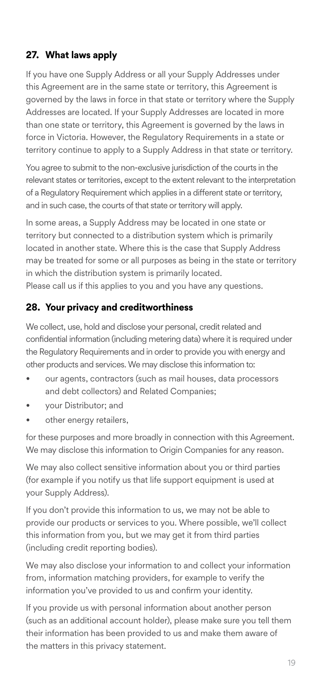# **27. What laws apply**

If you have one Supply Address or all your Supply Addresses under this Agreement are in the same state or territory, this Agreement is governed by the laws in force in that state or territory where the Supply Addresses are located. If your Supply Addresses are located in more than one state or territory, this Agreement is governed by the laws in force in Victoria. However, the Regulatory Requirements in a state or territory continue to apply to a Supply Address in that state or territory.

You agree to submit to the non-exclusive jurisdiction of the courts in the relevant states or territories, except to the extent relevant to the interpretation of a Regulatory Requirement which applies in a different state or territory, and in such case, the courts of that state or territory will apply.

In some areas, a Supply Address may be located in one state or territory but connected to a distribution system which is primarily located in another state. Where this is the case that Supply Address may be treated for some or all purposes as being in the state or territory in which the distribution system is primarily located. Please call us if this applies to you and you have any questions.

# **28. Your privacy and creditworthiness**

We collect, use, hold and disclose your personal, credit related and confidential information (including metering data) where it is required under the Regulatory Requirements and in order to provide you with energy and other products and services. We may disclose this information to:

- our agents, contractors (such as mail houses, data processors and debt collectors) and Related Companies;
- your Distributor; and
- other energy retailers.

for these purposes and more broadly in connection with this Agreement. We may disclose this information to Origin Companies for any reason.

We may also collect sensitive information about you or third parties (for example if you notify us that life support equipment is used at your Supply Address).

If you don't provide this information to us, we may not be able to provide our products or services to you. Where possible, we'll collect this information from you, but we may get it from third parties (including credit reporting bodies).

We may also disclose your information to and collect your information from, information matching providers, for example to verify the information you've provided to us and confirm your identity.

If you provide us with personal information about another person (such as an additional account holder), please make sure you tell them their information has been provided to us and make them aware of the matters in this privacy statement.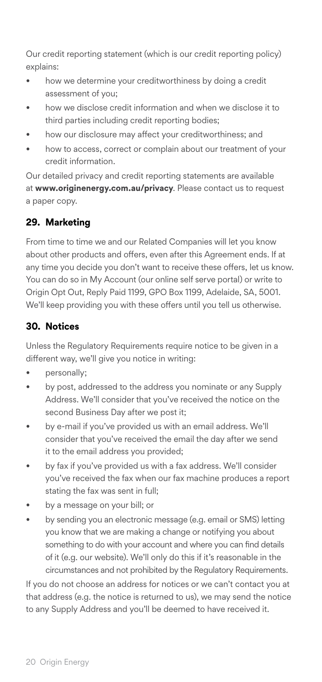Our credit reporting statement (which is our credit reporting policy) explains:

- how we determine your creditworthiness by doing a credit assessment of you;
- how we disclose credit information and when we disclose it to third parties including credit reporting bodies;
- how our disclosure may affect your creditworthiness; and
- how to access, correct or complain about our treatment of your credit information.

Our detailed privacy and credit reporting statements are available at **[www.originenergy.com.au/privacy](http://www.originenergy.com.au/privacy)**. Please contact us to request a paper copy.

# **29. Marketing**

From time to time we and our Related Companies will let you know about other products and offers, even after this Agreement ends. If at any time you decide you don't want to receive these offers, let us know. You can do so in My Account (our online self serve portal) or write to Origin Opt Out, Reply Paid 1199, GPO Box 1199, Adelaide, SA, 5001. We'll keep providing you with these offers until you tell us otherwise.

# **30. Notices**

Unless the Regulatory Requirements require notice to be given in a different way, we'll give you notice in writing:

- personally;
- by post, addressed to the address you nominate or any Supply Address. We'll consider that you've received the notice on the second Business Day after we post it;
- by e-mail if you've provided us with an email address. We'll consider that you've received the email the day after we send it to the email address you provided;
- by fax if you've provided us with a fax address. We'll consider you've received the fax when our fax machine produces a report stating the fax was sent in full;
- by a message on your bill; or
- by sending you an electronic message (e.g. email or SMS) letting you know that we are making a change or notifying you about something to do with your account and where you can find details of it (e.g. our website). We'll only do this if it's reasonable in the circumstances and not prohibited by the Regulatory Requirements.

If you do not choose an address for notices or we can't contact you at that address (e.g. the notice is returned to us), we may send the notice to any Supply Address and you'll be deemed to have received it.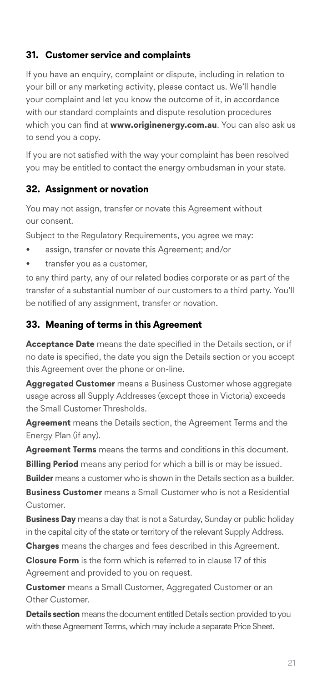# **31. Customer service and complaints**

If you have an enquiry, complaint or dispute, including in relation to your bill or any marketing activity, please contact us. We'll handle your complaint and let you know the outcome of it, in accordance with our standard complaints and dispute resolution procedures which you can find at **[www.originenergy.com.au](http://www.originenergy.com.au)**. You can also ask us to send you a copy.

If you are not satisfied with the way your complaint has been resolved you may be entitled to contact the energy ombudsman in your state.

#### **32. Assignment or novation**

You may not assign, transfer or novate this Agreement without our consent.

Subject to the Regulatory Requirements, you agree we may:

- assign, transfer or novate this Agreement; and/or
- transfer you as a customer,

to any third party, any of our related bodies corporate or as part of the transfer of a substantial number of our customers to a third party. You'll be notified of any assignment, transfer or novation.

## **33. Meaning of terms in this Agreement**

**Acceptance Date** means the date specified in the Details section, or if no date is specified, the date you sign the Details section or you accept this Agreement over the phone or on-line.

**Aggregated Customer** means a Business Customer whose aggregate usage across all Supply Addresses (except those in Victoria) exceeds the Small Customer Thresholds.

**Agreement** means the Details section, the Agreement Terms and the Energy Plan (if any).

**Agreement Terms** means the terms and conditions in this document.

**Billing Period** means any period for which a bill is or may be issued.

**Builder** means a customer who is shown in the Details section as a builder.

**Business Customer** means a Small Customer who is not a Residential Customer.

**Business Day** means a day that is not a Saturday, Sunday or public holiday in the capital city of the state or territory of the relevant Supply Address.

**Charges** means the charges and fees described in this Agreement.

**Closure Form** is the form which is referred to in clause 17 of this Agreement and provided to you on request.

**Customer** means a Small Customer, Aggregated Customer or an Other Customer.

**Details section** means the document entitled Details section provided to you with these Agreement Terms, which may include a separate Price Sheet.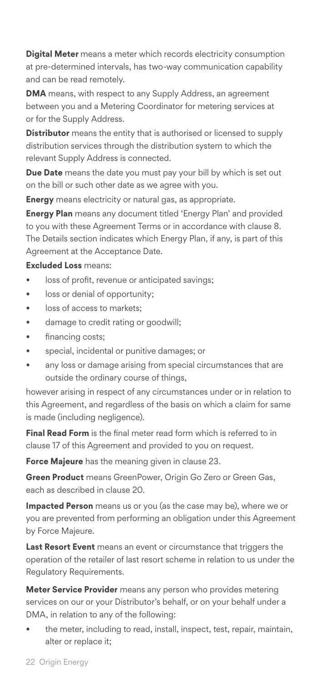**Digital Meter** means a meter which records electricity consumption at pre-determined intervals, has two-way communication capability and can be read remotely.

**DMA** means, with respect to any Supply Address, an agreement between you and a Metering Coordinator for metering services at or for the Supply Address.

**Distributor** means the entity that is authorised or licensed to supply distribution services through the distribution system to which the relevant Supply Address is connected.

**Due Date** means the date you must pay your bill by which is set out on the bill or such other date as we agree with you.

**Energy** means electricity or natural gas, as appropriate.

**Energy Plan** means any document titled 'Energy Plan' and provided to you with these Agreement Terms or in accordance with clause 8. The Details section indicates which Energy Plan, if any, is part of this Agreement at the Acceptance Date.

#### **Excluded Loss** means:

- loss of profit, revenue or anticipated savings:
- loss or denial of opportunity;
- loss of access to markets:
- damage to credit rating or goodwill;
- financing costs;
- special, incidental or punitive damages; or
- any loss or damage arising from special circumstances that are outside the ordinary course of things,

however arising in respect of any circumstances under or in relation to this Agreement, and regardless of the basis on which a claim for same is made (including negligence).

**Final Read Form** is the final meter read form which is referred to in clause 17 of this Agreement and provided to you on request.

**Force Majeure** has the meaning given in clause 23.

**Green Product** means GreenPower, Origin Go Zero or Green Gas, each as described in clause 20.

**Impacted Person** means us or you (as the case may be), where we or you are prevented from performing an obligation under this Agreement by Force Majeure.

**Last Resort Event** means an event or circumstance that triggers the operation of the retailer of last resort scheme in relation to us under the Regulatory Requirements.

**Meter Service Provider** means any person who provides metering services on our or your Distributor's behalf, or on your behalf under a DMA, in relation to any of the following:

• the meter, including to read, install, inspect, test, repair, maintain, alter or replace it;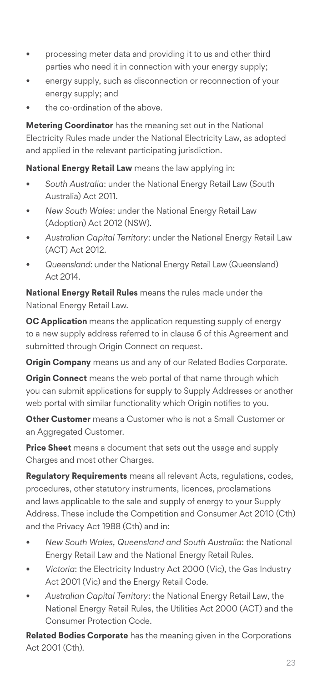- processing meter data and providing it to us and other third parties who need it in connection with your energy supply;
- energy supply, such as disconnection or reconnection of your energy supply; and
- the co-ordination of the above.

**Metering Coordinator** has the meaning set out in the National Electricity Rules made under the National Electricity Law, as adopted and applied in the relevant participating jurisdiction.

**National Energy Retail Law** means the law applying in:

- *South Australia*: under the National Energy Retail Law (South Australia) Act 2011.
- *New South Wales*: under the National Energy Retail Law (Adoption) Act 2012 (NSW).
- *Australian Capital Territory*: under the National Energy Retail Law (ACT) Act 2012.
- *Queensland*: under the National Energy Retail Law (Queensland) Act 2014.

**National Energy Retail Rules** means the rules made under the National Energy Retail Law.

**OC Application** means the application requesting supply of energy to a new supply address referred to in clause 6 of this Agreement and submitted through Origin Connect on request.

**Origin Company** means us and any of our Related Bodies Corporate.

**Origin Connect** means the web portal of that name through which you can submit applications for supply to Supply Addresses or another web portal with similar functionality which Origin notifies to you.

**Other Customer** means a Customer who is not a Small Customer or an Aggregated Customer.

**Price Sheet** means a document that sets out the usage and supply Charges and most other Charges.

**Regulatory Requirements** means all relevant Acts, regulations, codes, procedures, other statutory instruments, licences, proclamations and laws applicable to the sale and supply of energy to your Supply Address. These include the Competition and Consumer Act 2010 (Cth) and the Privacy Act 1988 (Cth) and in:

- *New South Wales, Queensland and South Australia*: the National Energy Retail Law and the National Energy Retail Rules.
- *Victoria*: the Electricity Industry Act 2000 (Vic), the Gas Industry Act 2001 (Vic) and the Energy Retail Code.
- *Australian Capital Territory*: the National Energy Retail Law, the National Energy Retail Rules, the Utilities Act 2000 (ACT) and the Consumer Protection Code.

**Related Bodies Corporate** has the meaning given in the Corporations Act 2001 (Cth).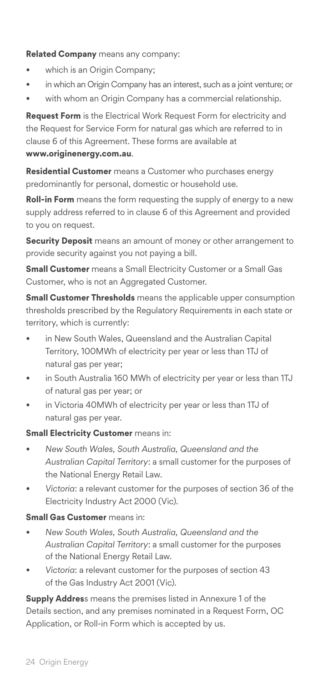**Related Company** means any company:

- which is an Origin Company;
- in which an Origin Company has an interest, such as a joint venture; or
- with whom an Origin Company has a commercial relationship.

**Request Form** is the Electrical Work Request Form for electricity and the Request for Service Form for natural gas which are referred to in clause 6 of this Agreement. These forms are available at **[www.originenergy.com.au](http://www.originenergy.com.au)**.

**Residential Customer** means a Customer who purchases energy predominantly for personal, domestic or household use.

**Roll-in Form** means the form requesting the supply of energy to a new supply address referred to in clause 6 of this Agreement and provided to you on request.

**Security Deposit** means an amount of money or other arrangement to provide security against you not paying a bill.

**Small Customer** means a Small Electricity Customer or a Small Gas Customer, who is not an Aggregated Customer.

**Small Customer Thresholds** means the applicable upper consumption thresholds prescribed by the Regulatory Requirements in each state or territory, which is currently:

- in New South Wales, Queensland and the Australian Capital Territory, 100MWh of electricity per year or less than 1TJ of natural gas per year;
- in South Australia 160 MWh of electricity per year or less than 1TJ of natural gas per year; or
- in Victoria 40MWh of electricity per year or less than 1TJ of natural gas per year.

#### **Small Electricity Customer** means in:

- *New South Wales, South Australia, Queensland and the Australian Capital Territory*: a small customer for the purposes of the National Energy Retail Law.
- *Victoria*: a relevant customer for the purposes of section 36 of the Electricity Industry Act 2000 (Vic).

#### **Small Gas Customer** means in:

- *New South Wales, South Australia, Queensland and the Australian Capital Territory*: a small customer for the purposes of the National Energy Retail Law.
- *Victoria*: a relevant customer for the purposes of section 43 of the Gas Industry Act 2001 (Vic).

**Supply Addres**s means the premises listed in Annexure 1 of the Details section, and any premises nominated in a Request Form, OC Application, or Roll-in Form which is accepted by us.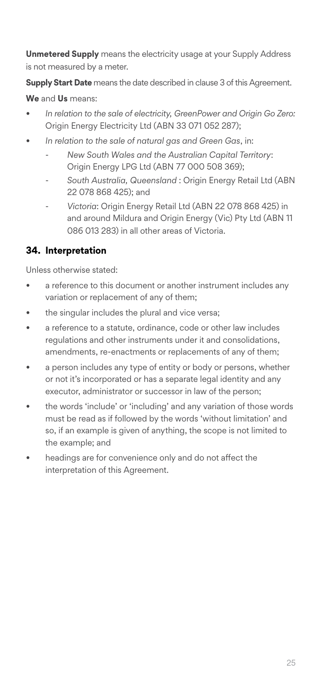**Unmetered Supply** means the electricity usage at your Supply Address is not measured by a meter.

**Supply Start Date** means the date described in clause 3 of this Agreement. **We** and **Us** means:

- *In relation to the sale of electricity, GreenPower and Origin Go Zero:* Origin Energy Electricity Ltd (ABN 33 071 052 287);
- *In relation to the sale of natural gas and Green Gas*, in:
	- *New South Wales and the Australian Capital Territory*: Origin Energy LPG Ltd (ABN 77 000 508 369);
	- *South Australia, Queensland* : Origin Energy Retail Ltd (ABN 22 078 868 425); and
	- *Victoria*: Origin Energy Retail Ltd (ABN 22 078 868 425) in and around Mildura and Origin Energy (Vic) Pty Ltd (ABN 11 086 013 283) in all other areas of Victoria.

#### **34. Interpretation**

Unless otherwise stated:

- a reference to this document or another instrument includes any variation or replacement of any of them;
- the singular includes the plural and vice versa;
- a reference to a statute, ordinance, code or other law includes regulations and other instruments under it and consolidations, amendments, re-enactments or replacements of any of them;
- a person includes any type of entity or body or persons, whether or not it's incorporated or has a separate legal identity and any executor, administrator or successor in law of the person;
- the words 'include' or 'including' and any variation of those words must be read as if followed by the words 'without limitation' and so, if an example is given of anything, the scope is not limited to the example; and
- headings are for convenience only and do not affect the interpretation of this Agreement.